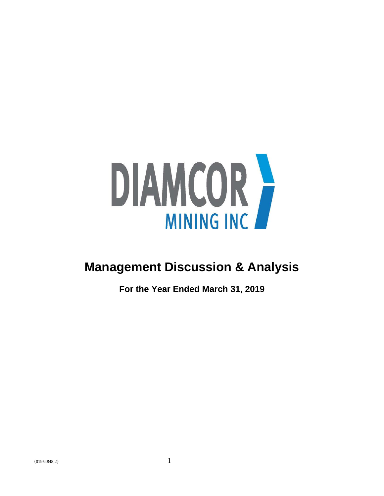

# **Management Discussion & Analysis**

**For the Year Ended March 31, 2019**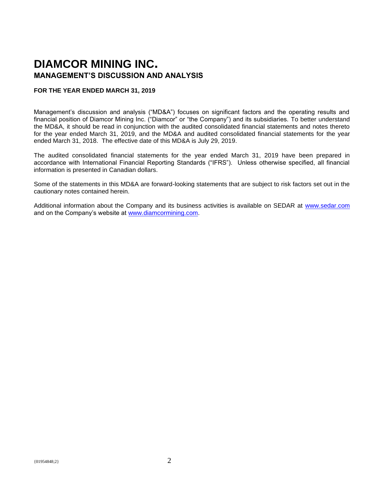# **DIAMCOR MINING INC. MANAGEMENT'S DISCUSSION AND ANALYSIS**

#### **FOR THE YEAR ENDED MARCH 31, 2019**

Management's discussion and analysis ("MD&A") focuses on significant factors and the operating results and financial position of Diamcor Mining Inc. ("Diamcor" or "the Company") and its subsidiaries. To better understand the MD&A, it should be read in conjunction with the audited consolidated financial statements and notes thereto for the year ended March 31, 2019, and the MD&A and audited consolidated financial statements for the year ended March 31, 2018. The effective date of this MD&A is July 29, 2019.

The audited consolidated financial statements for the year ended March 31, 2019 have been prepared in accordance with International Financial Reporting Standards ("IFRS"). Unless otherwise specified, all financial information is presented in Canadian dollars.

Some of the statements in this MD&A are forward-looking statements that are subject to risk factors set out in the cautionary notes contained herein.

Additional information about the Company and its business activities is available on SEDAR at [www.sedar.com](http://www.sedar.com/) and on the Company's website at [www.diamcormining.com.](http://www.diamcormining.com/)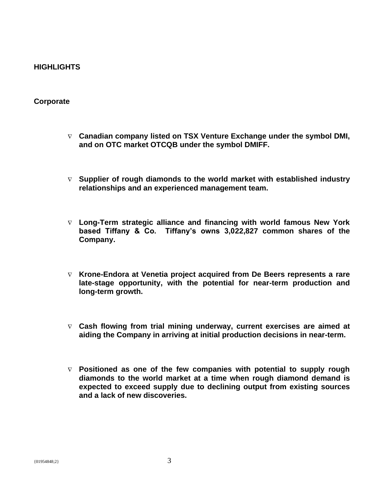# **HIGHLIGHTS**

# **Corporate**

- **Canadian company listed on TSX Venture Exchange under the symbol DMI, and on OTC market OTCQB under the symbol DMIFF.**
- **Supplier of rough diamonds to the world market with established industry relationships and an experienced management team.**
- **Long-Term strategic alliance and financing with world famous New York based Tiffany & Co. Tiffany's owns 3,022,827 common shares of the Company.**
- **Krone-Endora at Venetia project acquired from De Beers represents a rare late-stage opportunity, with the potential for near-term production and long-term growth.**
- **Cash flowing from trial mining underway, current exercises are aimed at aiding the Company in arriving at initial production decisions in near-term.**
- **Positioned as one of the few companies with potential to supply rough diamonds to the world market at a time when rough diamond demand is expected to exceed supply due to declining output from existing sources and a lack of new discoveries.**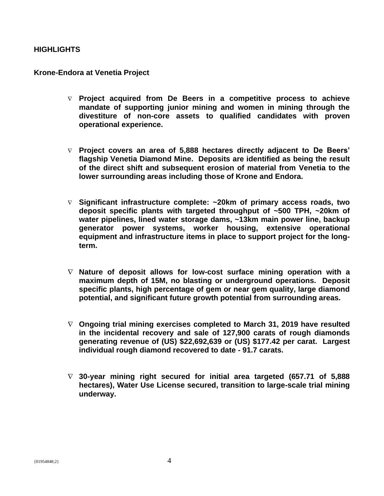# **HIGHLIGHTS**

## **Krone-Endora at Venetia Project**

- **Project acquired from De Beers in a competitive process to achieve mandate of supporting junior mining and women in mining through the divestiture of non-core assets to qualified candidates with proven operational experience.**
- **Project covers an area of 5,888 hectares directly adjacent to De Beers' flagship Venetia Diamond Mine. Deposits are identified as being the result of the direct shift and subsequent erosion of material from Venetia to the lower surrounding areas including those of Krone and Endora.**
- **Significant infrastructure complete: ~20km of primary access roads, two deposit specific plants with targeted throughput of ~500 TPH, ~20km of water pipelines, lined water storage dams, ~13km main power line, backup generator power systems, worker housing, extensive operational equipment and infrastructure items in place to support project for the longterm.**
- **Nature of deposit allows for low-cost surface mining operation with a maximum depth of 15M, no blasting or underground operations. Deposit specific plants, high percentage of gem or near gem quality, large diamond potential, and significant future growth potential from surrounding areas.**
- **Ongoing trial mining exercises completed to March 31, 2019 have resulted in the incidental recovery and sale of 127,900 carats of rough diamonds generating revenue of (US) \$22,692,639 or (US) \$177.42 per carat. Largest individual rough diamond recovered to date - 91.7 carats.**
- **30-year mining right secured for initial area targeted (657.71 of 5,888 hectares), Water Use License secured, transition to large-scale trial mining underway.**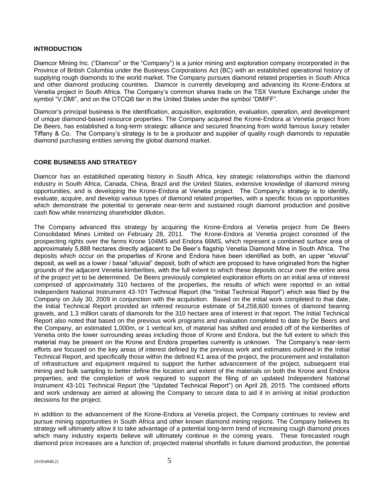#### **INTRODUCTION**

Diamcor Mining Inc. ("Diamcor" or the "Company") is a junior mining and exploration company incorporated in the Province of British Columbia under the Business Corporations Act (BC) with an established operational history of supplying rough diamonds to the world market. The Company pursues diamond related properties in South Africa and other diamond producing countries. Diamcor is currently developing and advancing its Krone-Endora at Venetia project in South Africa. The Company's common shares trade on the TSX Venture Exchange under the symbol "V.DMI", and on the OTCQB tier in the United States under the symbol "DMIFF".

Diamcor's principal business is the identification, acquisition, exploration, evaluation, operation, and development of unique diamond-based resource properties. The Company acquired the Krone-Endora at Venetia project from De Beers, has established a long-term strategic alliance and secured financing from world famous luxury retailer Tiffany & Co. The Company's strategy is to be a producer and supplier of quality rough diamonds to reputable diamond purchasing entities serving the global diamond market.

#### **CORE BUSINESS AND STRATEGY**

Diamcor has an established operating history in South Africa, key strategic relationships within the diamond industry in South Africa, Canada, China, Brazil and the United States, extensive knowledge of diamond mining opportunities, and is developing the Krone-Endora at Venetia project. The Company's strategy is to identify, evaluate, acquire, and develop various types of diamond related properties, with a specific focus on opportunities which demonstrate the potential to generate near-term and sustained rough diamond production and positive cash flow while minimizing shareholder dilution.

The Company advanced this strategy by acquiring the Krone-Endora at Venetia project from De Beers Consolidated Mines Limited on February 28, 2011. The Krone-Endora at Venetia project consisted of the prospecting rights over the farms Krone 104MS and Endora 66MS, which represent a combined surface area of approximately 5,888 hectares directly adjacent to De Beer's flagship Venetia Diamond Mine in South Africa. The deposits which occur on the properties of Krone and Endora have been identified as both, an upper "eluvial" deposit, as well as a lower / basal "alluvial" deposit, both of which are proposed to have originated from the higher grounds of the adjacent Venetia kimberlites, with the full extent to which these deposits occur over the entire area of the project yet to be determined. De Beers previously completed exploration efforts on an initial area of interest comprised of approximately 310 hectares of the properties, the results of which were reported in an initial Independent National Instrument 43-101 Technical Report (the "Initial Technical Report") which was filed by the Company on July 30, 2009 in conjunction with the acquisition. Based on the initial work completed to that date, the Initial Technical Report provided an inferred resource estimate of 54,258,600 tonnes of diamond bearing gravels, and 1.3 million carats of diamonds for the 310 hectare area of interest in that report. The Initial Technical Report also noted that based on the previous work programs and evaluation completed to date by De Beers and the Company, an estimated 1,000m, or 1 vertical km, of material has shifted and eroded off of the kimberlites of Venetia onto the lower surrounding areas including those of Krone and Endora, but the full extent to which this material may be present on the Krone and Endora properties currently is unknown. The Company's near-term efforts are focused on the key areas of interest defined by the previous work and estimates outlined in the Initial Technical Report, and specifically those within the defined K1 area of the project, the procurement and installation of infrastructure and equipment required to support the further advancement of the project, subsequent trial mining and bulk sampling to better define the location and extent of the materials on both the Krone and Endora properties, and the completion of work required to support the filing of an updated Independent National Instrument 43-101 Technical Report (the "Updated Technical Report") on April 28, 2015. The combined efforts and work underway are aimed at allowing the Company to secure data to aid it in arriving at initial production decisions for the project.

In addition to the advancement of the Krone-Endora at Venetia project, the Company continues to review and pursue mining opportunities in South Africa and other known diamond mining regions. The Company believes its strategy will ultimately allow it to take advantage of a potential long-term trend of increasing rough diamond prices which many industry experts believe will ultimately continue in the coming years. These forecasted rough diamond price increases are a function of; projected material shortfalls in future diamond production, the potential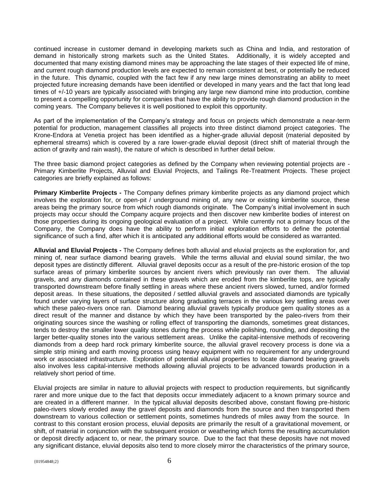continued increase in customer demand in developing markets such as China and India, and restoration of demand in historically strong markets such as the United States. Additionally, it is widely accepted and documented that many existing diamond mines may be approaching the late stages of their expected life of mine, and current rough diamond production levels are expected to remain consistent at best, or potentially be reduced in the future. This dynamic, coupled with the fact few if any new large mines demonstrating an ability to meet projected future increasing demands have been identified or developed in many years and the fact that long lead times of +/-10 years are typically associated with bringing any large new diamond mine into production, combine to present a compelling opportunity for companies that have the ability to provide rough diamond production in the coming years. The Company believes it is well positioned to exploit this opportunity.

As part of the implementation of the Company's strategy and focus on projects which demonstrate a near-term potential for production, management classifies all projects into three distinct diamond project categories. The Krone-Endora at Venetia project has been identified as a higher-grade alluvial deposit (material deposited by ephemeral streams) which is covered by a rare lower-grade eluvial deposit (direct shift of material through the action of gravity and rain wash), the nature of which is described in further detail below.

The three basic diamond project categories as defined by the Company when reviewing potential projects are - Primary Kimberlite Projects, Alluvial and Eluvial Projects, and Tailings Re-Treatment Projects. These project categories are briefly explained as follows:

**Primary Kimberlite Projects -** The Company defines primary kimberlite projects as any diamond project which involves the exploration for, or open-pit / underground mining of, any new or existing kimberlite source, these areas being the primary source from which rough diamonds originate. The Company's initial involvement in such projects may occur should the Company acquire projects and then discover new kimberlite bodies of interest on those properties during its ongoing geological evaluation of a project. While currently not a primary focus of the Company, the Company does have the ability to perform initial exploration efforts to define the potential significance of such a find, after which it is anticipated any additional efforts would be considered as warranted.

**Alluvial and Eluvial Projects -** The Company defines both alluvial and eluvial projects as the exploration for, and mining of, near surface diamond bearing gravels. While the terms alluvial and eluvial sound similar, the two deposit types are distinctly different. Alluvial gravel deposits occur as a result of the pre-historic erosion of the top surface areas of primary kimberlite sources by ancient rivers which previously ran over them. The alluvial gravels, and any diamonds contained in these gravels which are eroded from the kimberlite tops, are typically transported downstream before finally settling in areas where these ancient rivers slowed, turned, and/or formed deposit areas. In these situations, the deposited / settled alluvial gravels and associated diamonds are typically found under varying layers of surface structure along graduating terraces in the various key settling areas over which these paleo-rivers once ran. Diamond bearing alluvial gravels typically produce gem quality stones as a direct result of the manner and distance by which they have been transported by the paleo-rivers from their originating sources since the washing or rolling effect of transporting the diamonds, sometimes great distances, tends to destroy the smaller lower quality stones during the process while polishing, rounding, and depositing the larger better-quality stones into the various settlement areas. Unlike the capital-intensive methods of recovering diamonds from a deep hard rock primary kimberlite source, the alluvial gravel recovery process is done via a simple strip mining and earth moving process using heavy equipment with no requirement for any underground work or associated infrastructure. Exploration of potential alluvial properties to locate diamond bearing gravels also involves less capital-intensive methods allowing alluvial projects to be advanced towards production in a relatively short period of time.

Eluvial projects are similar in nature to alluvial projects with respect to production requirements, but significantly rarer and more unique due to the fact that deposits occur immediately adjacent to a known primary source and are created in a different manner. In the typical alluvial deposits described above, constant flowing pre-historic paleo-rivers slowly eroded away the gravel deposits and diamonds from the source and then transported them downstream to various collection or settlement points, sometimes hundreds of miles away from the source. In contrast to this constant erosion process, eluvial deposits are primarily the result of a gravitational movement, or shift, of material in conjunction with the subsequent erosion or weathering which forms the resulting accumulation or deposit directly adjacent to, or near, the primary source. Due to the fact that these deposits have not moved any significant distance, eluvial deposits also tend to more closely mirror the characteristics of the primary source,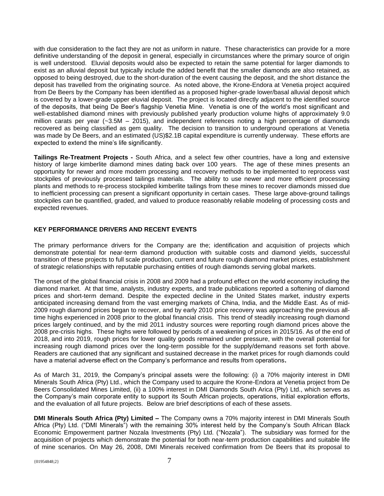with due consideration to the fact they are not as uniform in nature. These characteristics can provide for a more definitive understanding of the deposit in general, especially in circumstances where the primary source of origin is well understood. Eluvial deposits would also be expected to retain the same potential for larger diamonds to exist as an alluvial deposit but typically include the added benefit that the smaller diamonds are also retained, as opposed to being destroyed, due to the short-duration of the event causing the deposit, and the short distance the deposit has travelled from the originating source. As noted above, the Krone-Endora at Venetia project acquired from De Beers by the Company has been identified as a proposed higher-grade lower/basal alluvial deposit which is covered by a lower-grade upper eluvial deposit. The project is located directly adjacent to the identified source of the deposits, that being De Beer's flagship Venetia Mine. Venetia is one of the world's most significant and well-established diamond mines with previously published yearly production volume highs of approximately 9.0 million carats per year (~3.5M – 2015), and independent references noting a high percentage of diamonds recovered as being classified as gem quality. The decision to transition to underground operations at Venetia was made by De Beers, and an estimated (US)\$2.1B capital expenditure is currently underway. These efforts are expected to extend the mine's life significantly.

**Tailings Re-Treatment Projects -** South Africa, and a select few other countries, have a long and extensive history of large kimberlite diamond mines dating back over 100 years. The age of these mines presents an opportunity for newer and more modern processing and recovery methods to be implemented to reprocess vast stockpiles of previously processed tailings materials. The ability to use newer and more efficient processing plants and methods to re-process stockpiled kimberlite tailings from these mines to recover diamonds missed due to inefficient processing can present a significant opportunity in certain cases. These large above-ground tailings stockpiles can be quantified, graded, and valued to produce reasonably reliable modeling of processing costs and expected revenues.

#### **KEY PERFORMANCE DRIVERS AND RECENT EVENTS**

The primary performance drivers for the Company are the; identification and acquisition of projects which demonstrate potential for near-term diamond production with suitable costs and diamond yields, successful transition of these projects to full scale production, current and future rough diamond market prices, establishment of strategic relationships with reputable purchasing entities of rough diamonds serving global markets.

The onset of the global financial crisis in 2008 and 2009 had a profound effect on the world economy including the diamond market. At that time, analysts, industry experts, and trade publications reported a softening of diamond prices and short-term demand. Despite the expected decline in the United States market, industry experts anticipated increasing demand from the vast emerging markets of China, India, and the Middle East. As of mid-2009 rough diamond prices began to recover, and by early 2010 price recovery was approaching the previous alltime highs experienced in 2008 prior to the global financial crisis. This trend of steadily increasing rough diamond prices largely continued, and by the mid 2011 industry sources were reporting rough diamond prices above the 2008 pre-crisis highs. These highs were followed by periods of a weakening of prices in 2015/16. As of the end of 2018, and into 2019, rough prices for lower quality goods remained under pressure, with the overall potential for increasing rough diamond prices over the long-term possible for the supply/demand reasons set forth above. Readers are cautioned that any significant and sustained decrease in the market prices for rough diamonds could have a material adverse effect on the Company's performance and results from operations**.**

As of March 31, 2019, the Company's principal assets were the following: (i) a 70% majority interest in DMI Minerals South Africa (Pty) Ltd., which the Company used to acquire the Krone-Endora at Venetia project from De Beers Consolidated Mines Limited, (ii) a 100% interest in DMI Diamonds South Arica (Pty) Ltd., which serves as the Company's main corporate entity to support its South African projects, operations, initial exploration efforts, and the evaluation of all future projects. Below are brief descriptions of each of these assets.

**DMI Minerals South Africa (Pty) Limited –** The Company owns a 70% majority interest in DMI Minerals South Africa (Pty) Ltd. ("DMI Minerals") with the remaining 30% interest held by the Company's South African Black Economic Empowerment partner Nozala Investments (Pty) Ltd. ("Nozala"). The subsidiary was formed for the acquisition of projects which demonstrate the potential for both near-term production capabilities and suitable life of mine scenarios. On May 26, 2008, DMI Minerals received confirmation from De Beers that its proposal to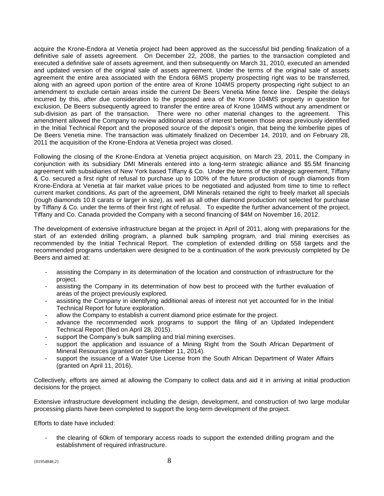acquire the Krone-Endora at Venetia project had been approved as the successful bid pending finalization of a definitive sale of assets agreement. On December 22, 2008, the parties to the transaction completed and executed a definitive sale of assets agreement, and then subsequently on March 31, 2010, executed an amended and updated version of the original sale of assets agreement. Under the terms of the original sale of assets agreement the entire area associated with the Endora 66MS property prospecting right was to be transferred, along with an agreed upon portion of the entire area of Krone 104MS property prospecting right subject to an amendment to exclude certain areas inside the current De Beers Venetia Mine fence line. Despite the delays incurred by this, after due consideration to the proposed area of the Krone 104MS property in question for exclusion, De Beers subsequently agreed to transfer the entire area of Krone 104MS without any amendment or sub-division as part of the transaction. There were no other material changes to the agreement. This amendment allowed the Company to review additional areas of interest between those areas previously identified in the Initial Technical Report and the proposed source of the deposit's origin, that being the kimberlite pipes of De Beers Venetia mine. The transaction was ultimately finalized on December 14, 2010, and on February 28, 2011 the acquisition of the Krone-Endora at Venetia project was closed.

Following the closing of the Krone-Endora at Venetia project acquisition, on March 23, 2011, the Company in conjunction with its subsidiary DMI Minerals entered into a long-term strategic alliance and \$5.5M financing agreement with subsidiaries of New York based Tiffany & Co. Under the terms of the strategic agreement, Tiffany & Co. secured a first right of refusal to purchase up to 100% of the future production of rough diamonds from Krone-Endora at Venetia at fair market value prices to be negotiated and adjusted from time to time to reflect current market conditions. As part of the agreement, DMI Minerals retained the right to freely market all specials (rough diamonds 10.8 carats or larger in size), as well as all other diamond production not selected for purchase by Tiffany & Co. under the terms of their first right of refusal. To expedite the further advancement of the project, Tiffany and Co. Canada provided the Company with a second financing of \$4M on November 16, 2012.

The development of extensive infrastructure began at the project in April of 2011, along with preparations for the start of an extended drilling program, a planned bulk sampling program, and trial mining exercises as recommended by the Initial Technical Report. The completion of extended drilling on 558 targets and the recommended programs undertaken were designed to be a continuation of the work previously completed by De Beers and aimed at:

- assisting the Company in its determination of the location and construction of infrastructure for the project.
- assisting the Company in its determination of how best to proceed with the further evaluation of areas of the project previously explored.
- assisting the Company in identifying additional areas of interest not yet accounted for in the Initial Technical Report for future exploration.
- allow the Company to establish a current diamond price estimate for the project.
- advance the recommended work programs to support the filing of an Updated Independent Technical Report (filed on April 28, 2015).
- support the Company's bulk sampling and trial mining exercises.
- support the application and issuance of a Mining Right from the South African Department of Mineral Resources (granted on September 11, 2014).
- support the issuance of a Water Use License from the South African Department of Water Affairs (granted on April 11, 2016).

Collectively, efforts are aimed at allowing the Company to collect data and aid it in arriving at initial production decisions for the project.

Extensive infrastructure development including the design, development, and construction of two large modular processing plants have been completed to support the long-term development of the project.

Efforts to date have included:

the clearing of 60km of temporary access roads to support the extended drilling program and the establishment of required infrastructure.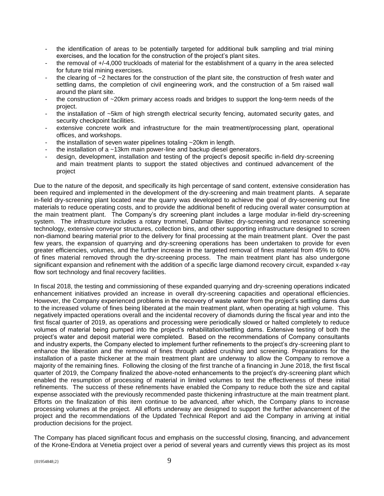- the identification of areas to be potentially targeted for additional bulk sampling and trial mining exercises, and the location for the construction of the project's plant sites.
- the removal of +/-4,000 truckloads of material for the establishment of a quarry in the area selected for future trial mining exercises.
- the clearing of  $\sim$  2 hectares for the construction of the plant site, the construction of fresh water and settling dams, the completion of civil engineering work, and the construction of a 5m raised wall around the plant site.
- the construction of  $\sim$  20km primary access roads and bridges to support the long-term needs of the project.
- the installation of ~5km of high strength electrical security fencing, automated security gates, and security checkpoint facilities.
- extensive concrete work and infrastructure for the main treatment/processing plant, operational offices, and workshops.
- the installation of seven water pipelines totaling  $\sim$  20km in length.
- the installation of a  $\sim$ 13km main power-line and backup diesel generators.
- design, development, installation and testing of the project's deposit specific in-field dry-screening and main treatment plants to support the stated objectives and continued advancement of the project

Due to the nature of the deposit, and specifically its high percentage of sand content, extensive consideration has been required and implemented in the development of the dry-screening and main treatment plants. A separate in-field dry-screening plant located near the quarry was developed to achieve the goal of dry-screening out fine materials to reduce operating costs, and to provide the additional benefit of reducing overall water consumption at the main treatment plant. The Company's dry screening plant includes a large modular in-field dry-screening system. The infrastructure includes a rotary trommel, Dabmar Bivitec dry-screening and resonance screening technology, extensive conveyor structures, collection bins, and other supporting infrastructure designed to screen non-diamond bearing material prior to the delivery for final processing at the main treatment plant. Over the past few years, the expansion of quarrying and dry-screening operations has been undertaken to provide for even greater efficiencies, volumes, and the further increase in the targeted removal of fines material from 45% to 60% of fines material removed through the dry-screening process. The main treatment plant has also undergone significant expansion and refinement with the addition of a specific large diamond recovery circuit, expanded x-ray flow sort technology and final recovery facilities.

In fiscal 2018, the testing and commissioning of these expanded quarrying and dry-screening operations indicated enhancement initiatives provided an increase in overall dry-screening capacities and operational efficiencies. However, the Company experienced problems in the recovery of waste water from the project's settling dams due to the increased volume of fines being liberated at the main treatment plant, when operating at high volume. This negatively impacted operations overall and the incidental recovery of diamonds during the fiscal year and into the first fiscal quarter of 2019, as operations and processing were periodically slowed or halted completely to reduce volumes of material being pumped into the project's rehabilitation/settling dams. Extensive testing of both the project's water and deposit material were completed. Based on the recommendations of Company consultants and industry experts, the Company elected to implement further refinements to the project's dry-screening plant to enhance the liberation and the removal of fines through added crushing and screening. Preparations for the installation of a paste thickener at the main treatment plant are underway to allow the Company to remove a majority of the remaining fines. Following the closing of the first tranche of a financing in June 2018, the first fiscal quarter of 2019, the Company finalized the above-noted enhancements to the project's dry-screening plant which enabled the resumption of processing of material in limited volumes to test the effectiveness of these initial refinements. The success of these refinements have enabled the Company to reduce both the size and capital expense associated with the previously recommended paste thickening infrastructure at the main treatment plant. Efforts on the finalization of this item continue to be advanced, after which, the Company plans to increase processing volumes at the project. All efforts underway are designed to support the further advancement of the project and the recommendations of the Updated Technical Report and aid the Company in arriving at initial production decisions for the project.

The Company has placed significant focus and emphasis on the successful closing, financing, and advancement of the Krone-Endora at Venetia project over a period of several years and currently views this project as its most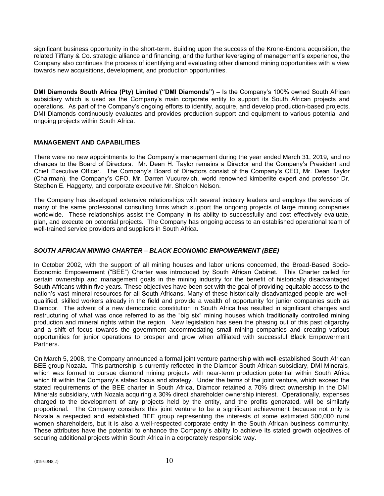significant business opportunity in the short-term. Building upon the success of the Krone-Endora acquisition, the related Tiffany & Co. strategic alliance and financing, and the further leveraging of management's experience, the Company also continues the process of identifying and evaluating other diamond mining opportunities with a view towards new acquisitions, development, and production opportunities.

**DMI Diamonds South Africa (Pty) Limited ("DMI Diamonds") –** Is the Company's 100% owned South African subsidiary which is used as the Company's main corporate entity to support its South African projects and operations. As part of the Company's ongoing efforts to identify, acquire, and develop production-based projects, DMI Diamonds continuously evaluates and provides production support and equipment to various potential and ongoing projects within South Africa.

#### **MANAGEMENT AND CAPABILITIES**

There were no new appointments to the Company's management during the year ended March 31, 2019, and no changes to the Board of Directors. Mr. Dean H. Taylor remains a Director and the Company's President and Chief Executive Officer. The Company's Board of Directors consist of the Company's CEO, Mr. Dean Taylor (Chairman), the Company's CFO, Mr. Darren Vucurevich, world renowned kimberlite expert and professor Dr. Stephen E. Haggerty, and corporate executive Mr. Sheldon Nelson.

The Company has developed extensive relationships with several industry leaders and employs the services of many of the same professional consulting firms which support the ongoing projects of large mining companies worldwide. These relationships assist the Company in its ability to successfully and cost effectively evaluate, plan, and execute on potential projects. The Company has ongoing access to an established operational team of well-trained service providers and suppliers in South Africa.

#### *SOUTH AFRICAN MINING CHARTER – BLACK ECONOMIC EMPOWERMENT (BEE)*

In October 2002, with the support of all mining houses and labor unions concerned, the Broad-Based Socio-Economic Empowerment ("BEE") Charter was introduced by South African Cabinet. This Charter called for certain ownership and management goals in the mining industry for the benefit of historically disadvantaged South Africans within five years. These objectives have been set with the goal of providing equitable access to the nation's vast mineral resources for all South Africans. Many of these historically disadvantaged people are wellqualified, skilled workers already in the field and provide a wealth of opportunity for junior companies such as Diamcor. The advent of a new democratic constitution in South Africa has resulted in significant changes and restructuring of what was once referred to as the "big six" mining houses which traditionally controlled mining production and mineral rights within the region. New legislation has seen the phasing out of this past oligarchy and a shift of focus towards the government accommodating small mining companies and creating various opportunities for junior operations to prosper and grow when affiliated with successful Black Empowerment Partners.

On March 5, 2008, the Company announced a formal joint venture partnership with well-established South African BEE group Nozala. This partnership is currently reflected in the Diamcor South African subsidiary, DMI Minerals, which was formed to pursue diamond mining projects with near-term production potential within South Africa which fit within the Company's stated focus and strategy. Under the terms of the joint venture, which exceed the stated requirements of the BEE charter in South Africa, Diamcor retained a 70% direct ownership in the DMI Minerals subsidiary, with Nozala acquiring a 30% direct shareholder ownership interest. Operationally, expenses charged to the development of any projects held by the entity, and the profits generated, will be similarly proportional. The Company considers this joint venture to be a significant achievement because not only is Nozala a respected and established BEE group representing the interests of some estimated 500,000 rural women shareholders, but it is also a well-respected corporate entity in the South African business community. These attributes have the potential to enhance the Company's ability to achieve its stated growth objectives of securing additional projects within South Africa in a corporately responsible way.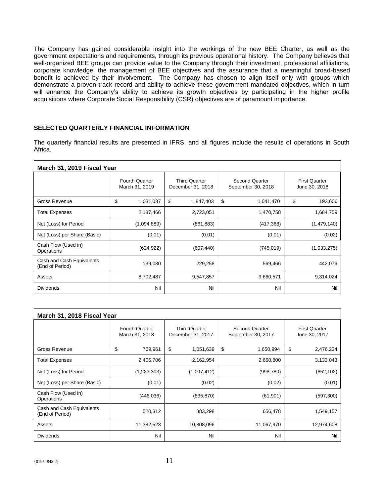The Company has gained considerable insight into the workings of the new BEE Charter, as well as the government expectations and requirements, through its previous operational history. The Company believes that well-organized BEE groups can provide value to the Company through their investment, professional affiliations, corporate knowledge, the management of BEE objectives and the assurance that a meaningful broad-based benefit is achieved by their involvement. The Company has chosen to align itself only with groups which demonstrate a proven track record and ability to achieve these government mandated objectives, which in turn will enhance the Company's ability to achieve its growth objectives by participating in the higher profile acquisitions where Corporate Social Responsibility (CSR) objectives are of paramount importance.

#### **SELECTED QUARTERLY FINANCIAL INFORMATION**

The quarterly financial results are presented in IFRS, and all figures include the results of operations in South Africa.

| March 31, 2019 Fiscal Year                   |                                         |                                           |                                             |                                       |  |  |  |
|----------------------------------------------|-----------------------------------------|-------------------------------------------|---------------------------------------------|---------------------------------------|--|--|--|
|                                              | <b>Fourth Quarter</b><br>March 31, 2019 | <b>Third Quarter</b><br>December 31, 2018 | <b>Second Quarter</b><br>September 30, 2018 | <b>First Quarter</b><br>June 30, 2018 |  |  |  |
| Gross Revenue                                | \$<br>1,031,037                         | \$<br>1,847,403                           | \$<br>1,041,470                             | \$<br>193,606                         |  |  |  |
| <b>Total Expenses</b>                        | 2,187,466                               | 2,723,051                                 | 1,470,758                                   | 1,684,759                             |  |  |  |
| Net (Loss) for Period                        | (1,094,889)                             | (861, 883)                                | (417, 368)                                  | (1,479,140)                           |  |  |  |
| Net (Loss) per Share (Basic)                 | (0.01)                                  | (0.01)                                    | (0.01)                                      | (0.02)                                |  |  |  |
| Cash Flow (Used in)<br>Operations            | (624, 922)                              | (607, 440)                                | (745, 019)                                  | (1,033,275)                           |  |  |  |
| Cash and Cash Equivalents<br>(End of Period) | 139,080                                 | 229,258                                   | 569,466                                     | 442,076                               |  |  |  |
| Assets                                       | 8,702,487                               | 9,547,857                                 | 9,660,571                                   | 9,314,024                             |  |  |  |
| <b>Dividends</b>                             | Nil                                     | Nil                                       | Nil                                         | Nil                                   |  |  |  |

| March 31, 2018 Fiscal Year                   |                                         |                                           |                                      |                                       |  |  |  |
|----------------------------------------------|-----------------------------------------|-------------------------------------------|--------------------------------------|---------------------------------------|--|--|--|
|                                              | <b>Fourth Quarter</b><br>March 31, 2018 | <b>Third Quarter</b><br>December 31, 2017 | Second Quarter<br>September 30, 2017 | <b>First Quarter</b><br>June 30, 2017 |  |  |  |
| Gross Revenue                                | \$<br>769,961                           | \$<br>1,051,639                           | \$<br>1,650,994                      | \$<br>2,476,234                       |  |  |  |
| <b>Total Expenses</b>                        | 2,406,706                               | 2,162,954                                 | 2,660,800                            | 3,133,043                             |  |  |  |
| Net (Loss) for Period                        | (1,223,303)                             | (1,097,412)                               | (998, 780)                           | (652, 102)                            |  |  |  |
| Net (Loss) per Share (Basic)                 | (0.01)                                  | (0.02)                                    | (0.02)                               | (0.01)                                |  |  |  |
| Cash Flow (Used in)<br>Operations            | (446, 036)                              | (835, 870)                                | (61, 901)                            | (597, 300)                            |  |  |  |
| Cash and Cash Equivalents<br>(End of Period) | 520,312                                 | 383,298                                   | 656,478                              | 1,549,157                             |  |  |  |
| Assets                                       | 11,382,523                              | 10,808,096                                | 11,067,970                           | 12,974,608                            |  |  |  |
| <b>Dividends</b>                             | Nil                                     | Nil                                       | Nil                                  | Nil                                   |  |  |  |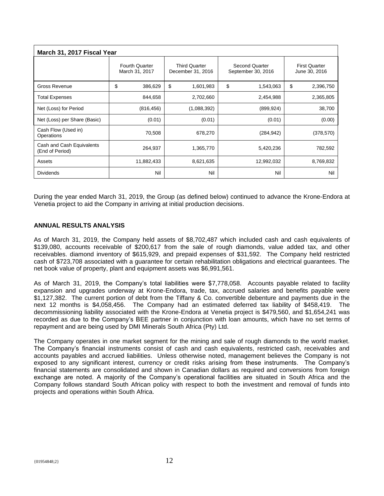| March 31, 2017 Fiscal Year                   |                                         |                                           |                                      |                                       |  |  |  |
|----------------------------------------------|-----------------------------------------|-------------------------------------------|--------------------------------------|---------------------------------------|--|--|--|
|                                              | <b>Fourth Quarter</b><br>March 31, 2017 | <b>Third Quarter</b><br>December 31, 2016 | Second Quarter<br>September 30, 2016 | <b>First Quarter</b><br>June 30, 2016 |  |  |  |
| Gross Revenue                                | \$<br>386,629                           | \$<br>1,601,983                           | \$<br>1,543,063                      | \$<br>2,396,750                       |  |  |  |
| <b>Total Expenses</b>                        | 844,658                                 | 2,702,660                                 | 2,454,988                            | 2,365,805                             |  |  |  |
| Net (Loss) for Period                        | (816, 456)                              | (1,088,392)                               | (899, 924)                           | 38,700                                |  |  |  |
| Net (Loss) per Share (Basic)                 | (0.01)                                  | (0.01)                                    | (0.01)                               | (0.00)                                |  |  |  |
| Cash Flow (Used in)<br>Operations            | 70,508                                  | 678,270                                   | (284, 942)                           | (378, 570)                            |  |  |  |
| Cash and Cash Equivalents<br>(End of Period) | 264,937                                 | 1,365,770                                 | 5,420,236                            | 782,592                               |  |  |  |
| Assets                                       | 11,882,433                              | 8,621,635                                 | 12,992,032                           | 8,769,832                             |  |  |  |
| <b>Dividends</b>                             | Nil                                     | Nil                                       | Nil                                  | Nil                                   |  |  |  |

During the year ended March 31, 2019, the Group (as defined below) continued to advance the Krone-Endora at Venetia project to aid the Company in arriving at initial production decisions.

#### **ANNUAL RESULTS ANALYSIS**

As of March 31, 2019, the Company held assets of \$8,702,487 which included cash and cash equivalents of \$139,080, accounts receivable of \$200,617 from the sale of rough diamonds, value added tax, and other receivables. diamond inventory of \$615,929, and prepaid expenses of \$31,592. The Company held restricted cash of \$723,708 associated with a guarantee for certain rehabilitation obligations and electrical guarantees. The net book value of property, plant and equipment assets was \$6,991,561.

As of March 31, 2019, the Company's total liabilities were \$7,778,058. Accounts payable related to facility expansion and upgrades underway at Krone-Endora, trade, tax, accrued salaries and benefits payable were \$1,127,382. The current portion of debt from the Tiffany & Co. convertible debenture and payments due in the next 12 months is \$4,058,456. The Company had an estimated deferred tax liability of \$458,419. The decommissioning liability associated with the Krone-Endora at Venetia project is \$479,560, and \$1,654,241 was recorded as due to the Company's BEE partner in conjunction with loan amounts, which have no set terms of repayment and are being used by DMI Minerals South Africa (Pty) Ltd.

The Company operates in one market segment for the mining and sale of rough diamonds to the world market. The Company's financial instruments consist of cash and cash equivalents, restricted cash, receivables and accounts payables and accrued liabilities. Unless otherwise noted, management believes the Company is not exposed to any significant interest, currency or credit risks arising from these instruments. The Company's financial statements are consolidated and shown in Canadian dollars as required and conversions from foreign exchange are noted. A majority of the Company's operational facilities are situated in South Africa and the Company follows standard South African policy with respect to both the investment and removal of funds into projects and operations within South Africa.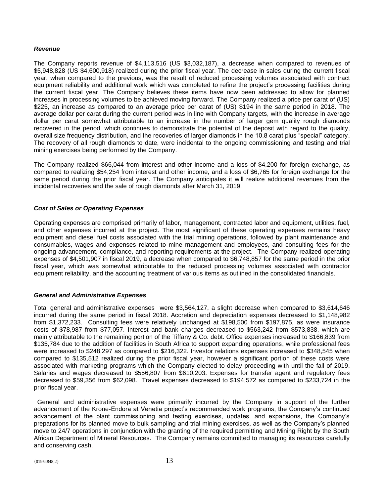#### *Revenue*

The Company reports revenue of \$4,113,516 (US \$3,032,187), a decrease when compared to revenues of \$5,948,828 (US \$4,600,918) realized during the prior fiscal year. The decrease in sales during the current fiscal year, when compared to the previous, was the result of reduced processing volumes associated with contract equipment reliability and additional work which was completed to refine the project's processing facilities during the current fiscal year. The Company believes these items have now been addressed to allow for planned increases in processing volumes to be achieved moving forward. The Company realized a price per carat of (US) \$225, an increase as compared to an average price per carat of (US) \$194 in the same period in 2018. The average dollar per carat during the current period was in line with Company targets, with the increase in average dollar per carat somewhat attributable to an increase in the number of larger gem quality rough diamonds recovered in the period, which continues to demonstrate the potential of the deposit with regard to the quality, overall size frequency distribution, and the recoveries of larger diamonds in the 10.8 carat plus "special" category. The recovery of all rough diamonds to date, were incidental to the ongoing commissioning and testing and trial mining exercises being performed by the Company.

The Company realized \$66,044 from interest and other income and a loss of \$4,200 for foreign exchange, as compared to realizing \$54,254 from interest and other income, and a loss of \$6,765 for foreign exchange for the same period during the prior fiscal year. The Company anticipates it will realize additional revenues from the incidental recoveries and the sale of rough diamonds after March 31, 2019.

#### *Cost of Sales or Operating Expenses*

Operating expenses are comprised primarily of labor, management, contracted labor and equipment, utilities, fuel, and other expenses incurred at the project. The most significant of these operating expenses remains heavy equipment and diesel fuel costs associated with the trial mining operations, followed by plant maintenance and consumables, wages and expenses related to mine management and employees, and consulting fees for the ongoing advancement, compliance, and reporting requirements at the project. The Company realized operating expenses of \$4,501,907 in fiscal 2019, a decrease when compared to \$6,748,857 for the same period in the prior fiscal year, which was somewhat attributable to the reduced processing volumes associated with contractor equipment reliability, and the accounting treatment of various items as outlined in the consolidated financials.

#### *General and Administrative Expenses*

Total general and administrative expenses were \$3,564,127, a slight decrease when compared to \$3,614,646 incurred during the same period in fiscal 2018. Accretion and depreciation expenses decreased to \$1,148,982 from \$1,372,233. Consulting fees were relatively unchanged at \$198,500 from \$197,875, as were insurance costs of \$78,987 from \$77,057. Interest and bank charges decreased to \$563,242 from \$573,838, which are mainly attributable to the remaining portion of the Tiffany & Co. debt. Office expenses increased to \$166,839 from \$135,784 due to the addition of facilities in South Africa to support expanding operations, while professional fees were increased to \$248,297 as compared to \$216,322. Investor relations expenses increased to \$348,545 when compared to \$135,512 realized during the prior fiscal year, however a significant portion of these costs were associated with marketing programs which the Company elected to delay proceeding with until the fall of 2019. Salaries and wages decreased to \$556,807 from \$610,203. Expenses for transfer agent and regulatory fees decreased to \$59,356 from \$62,098. Travel expenses decreased to \$194,572 as compared to \$233,724 in the prior fiscal year.

 General and administrative expenses were primarily incurred by the Company in support of the further advancement of the Krone-Endora at Venetia project's recommended work programs, the Company's continued advancement of the plant commissioning and testing exercises, updates, and expansions, the Company's preparations for its planned move to bulk sampling and trial mining exercises, as well as the Company's planned move to 24/7 operations in conjunction with the granting of the required permitting and Mining Right by the South African Department of Mineral Resources. The Company remains committed to managing its resources carefully and conserving cash.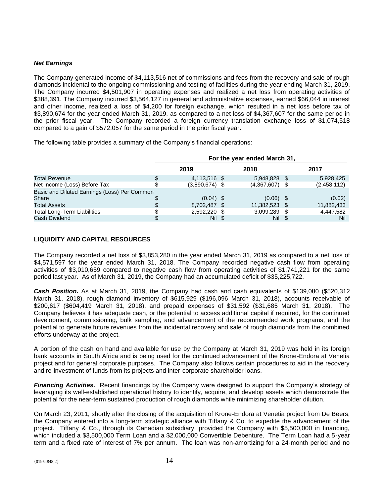#### *Net Earnings*

The Company generated income of \$4,113,516 net of commissions and fees from the recovery and sale of rough diamonds incidental to the ongoing commissioning and testing of facilities during the year ending March 31, 2019. The Company incurred \$4,501,907 in operating expenses and realized a net loss from operating activities of \$388,391. The Company incurred \$3,564,127 in general and administrative expenses, earned \$66,044 in interest and other income, realized a loss of \$4,200 for foreign exchange, which resulted in a net loss before tax of \$3,890,674 for the year ended March 31, 2019, as compared to a net loss of \$4,367,607 for the same period in the prior fiscal year. The Company recorded a foreign currency translation exchange loss of \$1,074,518 compared to a gain of \$572,057 for the same period in the prior fiscal year.

The following table provides a summary of the Company's financial operations:

|                                              |      | For the year ended March 31, |  |                  |  |             |  |
|----------------------------------------------|------|------------------------------|--|------------------|--|-------------|--|
|                                              | 2019 |                              |  | 2018             |  | 2017        |  |
| <b>Total Revenue</b>                         |      | 4,113,516 \$                 |  | 5,948,828 \$     |  | 5,928,425   |  |
| Net Income (Loss) Before Tax                 |      | $(3,890,674)$ \$             |  | $(4,367,607)$ \$ |  | (2,458,112) |  |
| Basic and Diluted Earnings (Loss) Per Common |      |                              |  |                  |  |             |  |
| Share                                        |      | $(0.04)$ \$                  |  | $(0.06)$ \$      |  | (0.02)      |  |
| <b>Total Assets</b>                          |      | 8,702,487 \$                 |  | 11,382,523 \$    |  | 11,882,433  |  |
| <b>Total Long-Term Liabilities</b>           |      | 2,592,220 \$                 |  | 3,099,289 \$     |  | 4,447,582   |  |
| Cash Dividend                                |      | Nil \$                       |  | Nil \$           |  | Nil         |  |

### **LIQUIDITY AND CAPITAL RESOURCES**

The Company recorded a net loss of \$3,853,280 in the year ended March 31, 2019 as compared to a net loss of \$4,571,597 for the year ended March 31, 2018. The Company recorded negative cash flow from operating activities of \$3,010,659 compared to negative cash flow from operating activities of \$1,741,221 for the same period last year. As of March 31, 2019, the Company had an accumulated deficit of \$35,225,722.

*Cash Position.* As at March 31, 2019, the Company had cash and cash equivalents of \$139,080 (\$520,312 March 31, 2018), rough diamond inventory of \$615,929 (\$196,096 March 31, 2018), accounts receivable of \$200,617 (\$604,419 March 31, 2018), and prepaid expenses of \$31,592 (\$31,685 March 31, 2018). The Company believes it has adequate cash, or the potential to access additional capital if required, for the continued development, commissioning, bulk sampling, and advancement of the recommended work programs, and the potential to generate future revenues from the incidental recovery and sale of rough diamonds from the combined efforts underway at the project.

A portion of the cash on hand and available for use by the Company at March 31, 2019 was held in its foreign bank accounts in South Africa and is being used for the continued advancement of the Krone-Endora at Venetia project and for general corporate purposes. The Company also follows certain procedures to aid in the recovery and re-investment of funds from its projects and inter-corporate shareholder loans.

*Financing Activities.* Recent financings by the Company were designed to support the Company's strategy of leveraging its well-established operational history to identify, acquire, and develop assets which demonstrate the potential for the near-term sustained production of rough diamonds while minimizing shareholder dilution.

On March 23, 2011, shortly after the closing of the acquisition of Krone-Endora at Venetia project from De Beers, the Company entered into a long-term strategic alliance with Tiffany & Co. to expedite the advancement of the project. Tiffany & Co., through its Canadian subsidiary, provided the Company with \$5,500,000 in financing, which included a \$3,500,000 Term Loan and a \$2,000,000 Convertible Debenture. The Term Loan had a 5-year term and a fixed rate of interest of 7% per annum. The loan was non-amortizing for a 24-month period and no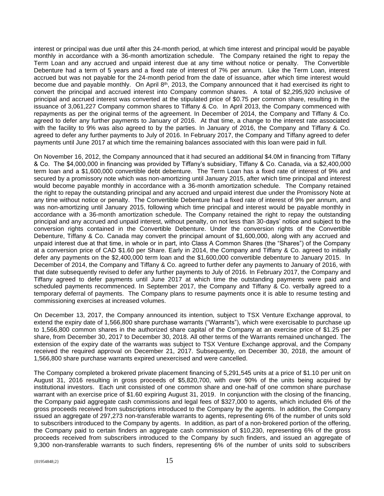interest or principal was due until after this 24-month period, at which time interest and principal would be payable monthly in accordance with a 36-month amortization schedule. The Company retained the right to repay the Term Loan and any accrued and unpaid interest due at any time without notice or penalty. The Convertible Debenture had a term of 5 years and a fixed rate of interest of 7% per annum. Like the Term Loan, interest accrued but was not payable for the 24-month period from the date of issuance, after which time interest would become due and payable monthly. On April 8<sup>th</sup>, 2013, the Company announced that it had exercised its right to convert the principal and accrued interest into Company common shares. A total of \$2,295,920 inclusive of principal and accrued interest was converted at the stipulated price of \$0.75 per common share, resulting in the issuance of 3,061,227 Company common shares to Tiffany & Co. In April 2013, the Company commenced with repayments as per the original terms of the agreement. In December of 2014, the Company and Tiffany & Co. agreed to defer any further payments to January of 2016. At that time, a change to the interest rate associated with the facility to 9% was also agreed to by the parties. In January of 2016, the Company and Tiffany & Co. agreed to defer any further payments to July of 2016. In February 2017, the Company and Tiffany agreed to defer payments until June 2017 at which time the remaining balances associated with this loan were paid in full.

On November 16, 2012, the Company announced that it had secured an additional \$4.0M in financing from Tiffany & Co. The \$4,000,000 in financing was provided by Tiffany's subsidiary, Tiffany & Co. Canada, via a \$2,400,000 term loan and a \$1,600,000 convertible debt debenture. The Term Loan has a fixed rate of interest of 9% and secured by a promissory note which was non-amortizing until January 2015, after which time principal and interest would become payable monthly in accordance with a 36-month amortization schedule. The Company retained the right to repay the outstanding principal and any accrued and unpaid interest due under the Promissory Note at any time without notice or penalty. The Convertible Debenture had a fixed rate of interest of 9% per annum, and was non-amortizing until January 2015, following which time principal and interest would be payable monthly in accordance with a 36-month amortization schedule. The Company retained the right to repay the outstanding principal and any accrued and unpaid interest, without penalty, on not less than 30-days' notice and subject to the conversion rights contained in the Convertible Debenture. Under the conversion rights of the Convertible Debenture, Tiffany & Co. Canada may convert the principal amount of \$1,600,000, along with any accrued and unpaid interest due at that time, in whole or in part, into Class A Common Shares (the "Shares") of the Company at a conversion price of CAD \$1.60 per Share. Early in 2014, the Company and Tiffany & Co. agreed to initially defer any payments on the \$2,400,000 term loan and the \$1,600,000 convertible debenture to January 2015. In December of 2014, the Company and Tiffany & Co. agreed to further defer any payments to January of 2016, with that date subsequently revised to defer any further payments to July of 2016. In February 2017, the Company and Tiffany agreed to defer payments until June 2017 at which time the outstanding payments were paid and scheduled payments recommenced. In September 2017, the Company and Tiffany & Co. verbally agreed to a temporary deferral of payments. The Company plans to resume payments once it is able to resume testing and commissioning exercises at increased volumes.

On December 13, 2017, the Company announced its intention, subject to TSX Venture Exchange approval, to extend the expiry date of 1,566,800 share purchase warrants ("Warrants"), which were exercisable to purchase up to 1,566,800 common shares in the authorized share capital of the Company at an exercise price of \$1.25 per share, from December 30, 2017 to December 30, 2018. All other terms of the Warrants remained unchanged. The extension of the expiry date of the warrants was subject to TSX Venture Exchange approval, and the Company received the required approval on December 21, 2017. Subsequently, on December 30, 2018, the amount of 1,566,800 share purchase warrants expired unexercised and were cancelled.

The Company completed a brokered private placement financing of 5,291,545 units at a price of \$1.10 per unit on August 31, 2016 resulting in gross proceeds of \$5,820,700, with over 90% of the units being acquired by institutional investors. Each unit consisted of one common share and one-half of one common share purchase warrant with an exercise price of \$1.60 expiring August 31, 2019. In conjunction with the closing of the financing, the Company paid aggregate cash commissions and legal fees of \$327,000 to agents, which included 6% of the gross proceeds received from subscriptions introduced to the Company by the agents. In addition, the Company issued an aggregate of 297,273 non-transferable warrants to agents, representing 6% of the number of units sold to subscribers introduced to the Company by agents. In addition, as part of a non-brokered portion of the offering, the Company paid to certain finders an aggregate cash commission of \$10,230, representing 6% of the gross proceeds received from subscribers introduced to the Company by such finders, and issued an aggregate of 9,300 non-transferable warrants to such finders, representing 6% of the number of units sold to subscribers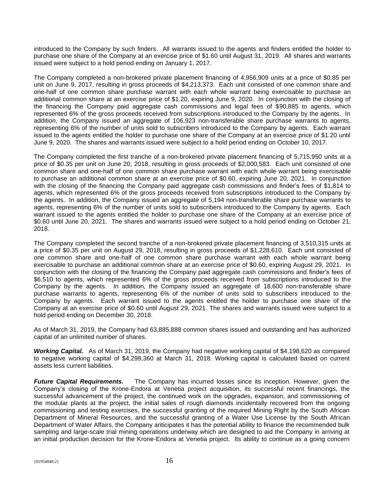introduced to the Company by such finders. All warrants issued to the agents and finders entitled the holder to purchase one share of the Company at an exercise price of \$1.60 until August 31, 2019. All shares and warrants issued were subject to a hold period ending on January 1, 2017.

The Company completed a non-brokered private placement financing of 4,956,909 units at a price of \$0.85 per unit on June 9, 2017, resulting in gross proceeds of \$4,213,373. Each unit consisted of one common share and one-half of one common share purchase warrant with each whole warrant being exercisable to purchase an additional common share at an exercise price of \$1.20, expiring June 9, 2020. In conjunction with the closing of the financing the Company paid aggregate cash commissions and legal fees of \$90,885 to agents, which represented 6% of the gross proceeds received from subscriptions introduced to the Company by the agents. In addition, the Company issued an aggregate of 106,923 non-transferable share purchase warrants to agents, representing 6% of the number of units sold to subscribers introduced to the Company by agents. Each warrant issued to the agents entitled the holder to purchase one share of the Company at an exercise price of \$1.20 until June 9, 2020. The shares and warrants issued were subject to a hold period ending on October 10, 2017.

The Company completed the first tranche of a non-brokered private placement financing of 5,715,950 units at a price of \$0.35 per unit on June 20, 2018, resulting in gross proceeds of \$2,000,583. Each unit consisted of one common share and one-half of one common share purchase warrant with each whole warrant being exercisable to purchase an additional common share at an exercise price of \$0.60, expiring June 20, 2021. In conjunction with the closing of the financing the Company paid aggregate cash commissions and finder's fees of \$1,814 to agents, which represented 6% of the gross proceeds received from subscriptions introduced to the Company by the agents. In addition, the Company issued an aggregate of 5,194 non-transferable share purchase warrants to agents, representing 6% of the number of units sold to subscribers introduced to the Company by agents. Each warrant issued to the agents entitled the holder to purchase one share of the Company at an exercise price of \$0.60 until June 20, 2021. The shares and warrants issued were subject to a hold period ending on October 21, 2018.

The Company completed the second tranche of a non-brokered private placement financing of 3,510,315 units at a price of \$0.35 per unit on August 29, 2018, resulting in gross proceeds of \$1,228,610. Each unit consisted of one common share and one-half of one common share purchase warrant with each whole warrant being exercisable to purchase an additional common share at an exercise price of \$0.60, expiring August 29, 2021. In conjunction with the closing of the financing the Company paid aggregate cash commissions and finder's fees of \$6,510 to agents, which represented 6% of the gross proceeds received from subscriptions introduced to the Company by the agents. In addition, the Company issued an aggregate of 18,600 non-transferable share purchase warrants to agents, representing 6% of the number of units sold to subscribers introduced to the Company by agents. Each warrant issued to the agents entitled the holder to purchase one share of the Company at an exercise price of \$0.60 until August 29, 2021. The shares and warrants issued were subject to a hold period ending on December 30, 2018.

As of March 31, 2019, the Company had 63,885,888 common shares issued and outstanding and has authorized capital of an unlimited number of shares.

*Working Capital.* As of March 31, 2019, the Company had negative working capital of \$4,198,620 as compared to negative working capital of \$4,299,360 at March 31, 2018. Working capital is calculated based on current assets less current liabilities.

*Future Capital Requirements.* The Company has incurred losses since its inception. However, given the Company's closing of the Krone-Endora at Venetia project acquisition, its successful recent financings, the successful advancement of the project, the continued work on the upgrades, expansion, and commissioning of the modular plants at the project, the initial sales of rough diamonds incidentally recovered from the ongoing commissioning and testing exercises, the successful granting of the required Mining Right by the South African Department of Mineral Resources, and the successful granting of a Water Use License by the South African Department of Water Affairs, the Company anticipates it has the potential ability to finance the recommended bulk sampling and large-scale trial mining operations underway which are designed to aid the Company in arriving at an initial production decision for the Krone-Endora at Venetia project. Its ability to continue as a going concern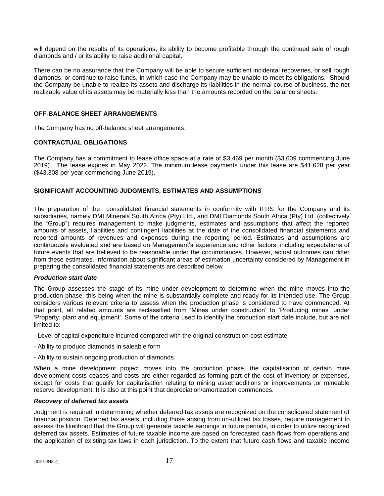will depend on the results of its operations, its ability to become profitable through the continued sale of rough diamonds and / or its ability to raise additional capital.

There can be no assurance that the Company will be able to secure sufficient incidental recoveries, or sell rough diamonds, or continue to raise funds, in which case the Company may be unable to meet its obligations. Should the Company be unable to realize its assets and discharge its liabilities in the normal course of business, the net realizable value of its assets may be materially less than the amounts recorded on the balance sheets.

#### **OFF-BALANCE SHEET ARRANGEMENTS**

The Company has no off-balance sheet arrangements.

#### **CONTRACTUAL OBLIGATIONS**

The Company has a commitment to lease office space at a rate of \$3,469 per month (\$3,609 commencing June 2019). The lease expires in May 2022. The minimum lease payments under this lease are \$41,628 per year (\$43,308 per year commencing June 2019).

#### **SIGNIFICANT ACCOUNTING JUDGMENTS, ESTIMATES AND ASSUMPTIONS**

The preparation of the consolidated financial statements in conformity with IFRS for the Company and its subsidiaries, namely DMI Minerals South Africa (Pty) Ltd., and DMI Diamonds South Africa (Pty) Ltd. (collectively the "Group") requires management to make judgments, estimates and assumptions that affect the reported amounts of assets, liabilities and contingent liabilities at the date of the consolidated financial statements and reported amounts of revenues and expenses during the reporting period. Estimates and assumptions are continuously evaluated and are based on Management's experience and other factors, including expectations of future events that are believed to be reasonable under the circumstances. However, actual outcomes can differ from these estimates. Information about significant areas of estimation uncertainty considered by Management in preparing the consolidated financial statements are described below

#### *Production start date*

The Group assesses the stage of its mine under development to determine when the mine moves into the production phase, this being when the mine is substantially complete and ready for its intended use. The Group considers various relevant criteria to assess when the production phase is considered to have commenced. At that point, all related amounts are reclassified from 'Mines under construction' to 'Producing mines' under 'Property, plant and equipment'. Some of the criteria used to identify the production start date include, but are not limited to:

- Level of capital expenditure incurred compared with the original construction cost estimate
- Ability to produce diamonds in saleable form
- Ability to sustain ongoing production of diamonds.

When a mine development project moves into the production phase, the capitalisation of certain mine development costs ceases and costs are either regarded as forming part of the cost of inventory or expensed, except for costs that qualify for capitalisation relating to mining asset additions or improvements ,or mineable reserve development. It is also at this point that depreciation/amortization commences.

#### *Recovery of deferred tax assets*

Judgment is required in determining whether deferred tax assets are recognized on the consolidated statement of financial position. Deferred tax assets, including those arising from un-utilized tax losses, require management to assess the likelihood that the Group will generate taxable earnings in future periods, in order to utilize recognized deferred tax assets. Estimates of future taxable income are based on forecasted cash flows from operations and the application of existing tax laws in each jurisdiction. To the extent that future cash flows and taxable income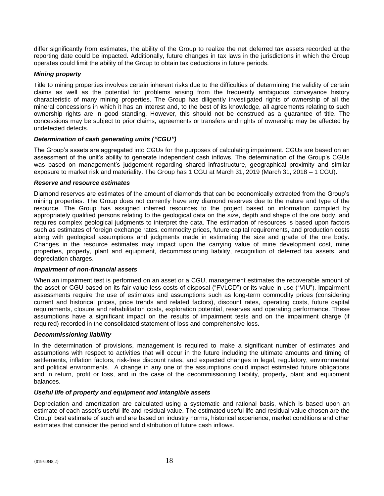differ significantly from estimates, the ability of the Group to realize the net deferred tax assets recorded at the reporting date could be impacted. Additionally, future changes in tax laws in the jurisdictions in which the Group operates could limit the ability of the Group to obtain tax deductions in future periods.

#### *Mining property*

Title to mining properties involves certain inherent risks due to the difficulties of determining the validity of certain claims as well as the potential for problems arising from the frequently ambiguous conveyance history characteristic of many mining properties. The Group has diligently investigated rights of ownership of all the mineral concessions in which it has an interest and, to the best of its knowledge, all agreements relating to such ownership rights are in good standing. However, this should not be construed as a guarantee of title. The concessions may be subject to prior claims, agreements or transfers and rights of ownership may be affected by undetected defects.

#### *Determination of cash generating units ("CGU")*

The Group's assets are aggregated into CGUs for the purposes of calculating impairment. CGUs are based on an assessment of the unit's ability to generate independent cash inflows. The determination of the Group's CGUs was based on management's judgement regarding shared infrastructure, geographical proximity and similar exposure to market risk and materiality. The Group has 1 CGU at March 31, 2019 (March 31, 2018 – 1 CGU).

#### *Reserve and resource estimates*

Diamond reserves are estimates of the amount of diamonds that can be economically extracted from the Group's mining properties. The Group does not currently have any diamond reserves due to the nature and type of the resource. The Group has assigned inferred resources to the project based on information compiled by appropriately qualified persons relating to the geological data on the size, depth and shape of the ore body, and requires complex geological judgments to interpret the data. The estimation of resources is based upon factors such as estimates of foreign exchange rates, commodity prices, future capital requirements, and production costs along with geological assumptions and judgments made in estimating the size and grade of the ore body. Changes in the resource estimates may impact upon the carrying value of mine development cost, mine properties, property, plant and equipment, decommissioning liability, recognition of deferred tax assets, and depreciation charges.

#### *Impairment of non-financial assets*

When an impairment test is performed on an asset or a CGU, management estimates the recoverable amount of the asset or CGU based on its fair value less costs of disposal ("FVLCD") or its value in use ("VIU"). Impairment assessments require the use of estimates and assumptions such as long-term commodity prices (considering current and historical prices, price trends and related factors), discount rates, operating costs, future capital requirements, closure and rehabilitation costs, exploration potential, reserves and operating performance. These assumptions have a significant impact on the results of impairment tests and on the impairment charge (if required) recorded in the consolidated statement of loss and comprehensive loss.

#### *Decommissioning liability*

In the determination of provisions, management is required to make a significant number of estimates and assumptions with respect to activities that will occur in the future including the ultimate amounts and timing of settlements, inflation factors, risk-free discount rates, and expected changes in legal, regulatory, environmental and political environments. A change in any one of the assumptions could impact estimated future obligations and in return, profit or loss, and in the case of the decommissioning liability, property, plant and equipment balances.

#### *Useful life of property and equipment and intangible assets*

Depreciation and amortization are calculated using a systematic and rational basis, which is based upon an estimate of each asset's useful life and residual value. The estimated useful life and residual value chosen are the Group' best estimate of such and are based on industry norms, historical experience, market conditions and other estimates that consider the period and distribution of future cash inflows.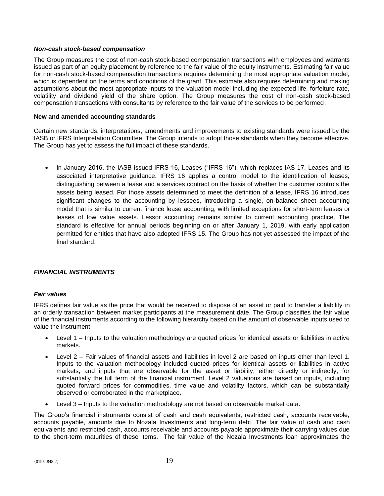#### *Non-cash stock-based compensation*

The Group measures the cost of non-cash stock-based compensation transactions with employees and warrants issued as part of an equity placement by reference to the fair value of the equity instruments. Estimating fair value for non-cash stock-based compensation transactions requires determining the most appropriate valuation model, which is dependent on the terms and conditions of the grant. This estimate also requires determining and making assumptions about the most appropriate inputs to the valuation model including the expected life, forfeiture rate, volatility and dividend yield of the share option. The Group measures the cost of non-cash stock-based compensation transactions with consultants by reference to the fair value of the services to be performed.

#### **New and amended accounting standards**

Certain new standards, interpretations, amendments and improvements to existing standards were issued by the IASB or IFRS Interpretation Committee. The Group intends to adopt those standards when they become effective. The Group has yet to assess the full impact of these standards.

• In January 2016, the IASB issued IFRS 16, Leases ("IFRS 16"), which replaces IAS 17, Leases and its associated interpretative guidance. IFRS 16 applies a control model to the identification of leases, distinguishing between a lease and a services contract on the basis of whether the customer controls the assets being leased. For those assets determined to meet the definition of a lease, IFRS 16 introduces significant changes to the accounting by lessees, introducing a single, on-balance sheet accounting model that is similar to current finance lease accounting, with limited exceptions for short-term leases or leases of low value assets. Lessor accounting remains similar to current accounting practice. The standard is effective for annual periods beginning on or after January 1, 2019, with early application permitted for entities that have also adopted IFRS 15. The Group has not yet assessed the impact of the final standard.

#### *FINANCIAL INSTRUMENTS*

#### *Fair values*

IFRS defines fair value as the price that would be received to dispose of an asset or paid to transfer a liability in an orderly transaction between market participants at the measurement date. The Group classifies the fair value of the financial instruments according to the following hierarchy based on the amount of observable inputs used to value the instrument

- Level 1 Inputs to the valuation methodology are quoted prices for identical assets or liabilities in active markets.
- Level 2 Fair values of financial assets and liabilities in level 2 are based on inputs other than level 1. Inputs to the valuation methodology included quoted prices for identical assets or liabilities in active markets, and inputs that are observable for the asset or liability, either directly or indirectly, for substantially the full term of the financial instrument. Level 2 valuations are based on inputs, including quoted forward prices for commodities, time value and volatility factors, which can be substantially observed or corroborated in the marketplace.
- Level 3 Inputs to the valuation methodology are not based on observable market data.

The Group's financial instruments consist of cash and cash equivalents, restricted cash, accounts receivable, accounts payable, amounts due to Nozala Investments and long-term debt. The fair value of cash and cash equivalents and restricted cash, accounts receivable and accounts payable approximate their carrying values due to the short-term maturities of these items. The fair value of the Nozala Investments loan approximates the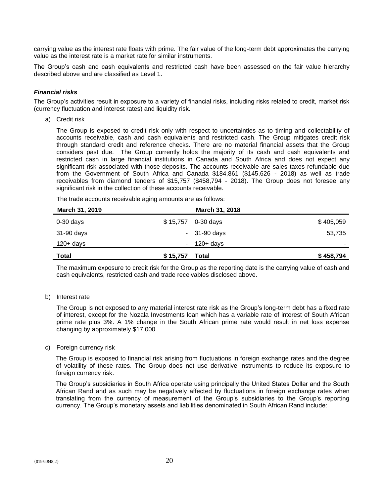carrying value as the interest rate floats with prime. The fair value of the long-term debt approximates the carrying value as the interest rate is a market rate for similar instruments.

The Group's cash and cash equivalents and restricted cash have been assessed on the fair value hierarchy described above and are classified as Level 1.

#### *Financial risks*

The Group's activities result in exposure to a variety of financial risks, including risks related to credit, market risk (currency fluctuation and interest rates) and liquidity risk.

a) Credit risk

The Group is exposed to credit risk only with respect to uncertainties as to timing and collectability of accounts receivable, cash and cash equivalents and restricted cash. The Group mitigates credit risk through standard credit and reference checks. There are no material financial assets that the Group considers past due. The Group currently holds the majority of its cash and cash equivalents and restricted cash in large financial institutions in Canada and South Africa and does not expect any significant risk associated with those deposits. The accounts receivable are sales taxes refundable due from the Government of South Africa and Canada \$184,861 (\$145,626 - 2018) as well as trade receivables from diamond tenders of \$15,757 (\$458,794 - 2018). The Group does not foresee any significant risk in the collection of these accounts receivable.

The trade accounts receivable aging amounts are as follows:

| March 31, 2019 |          | March 31, 2018 |           |
|----------------|----------|----------------|-----------|
| $0-30$ days    | \$15,757 | 0-30 days      | \$405,059 |
| 31-90 days     |          | $-31-90$ days  | 53,735    |
| $120 + days$   |          | $-120+ days$   | $\,$      |
| <b>Total</b>   | \$15,757 | Total          | \$458,794 |

The maximum exposure to credit risk for the Group as the reporting date is the carrying value of cash and cash equivalents, restricted cash and trade receivables disclosed above.

b) Interest rate

The Group is not exposed to any material interest rate risk as the Group's long-term debt has a fixed rate of interest, except for the Nozala Investments loan which has a variable rate of interest of South African prime rate plus 3%. A 1% change in the South African prime rate would result in net loss expense changing by approximately \$17,000.

#### c) Foreign currency risk

The Group is exposed to financial risk arising from fluctuations in foreign exchange rates and the degree of volatility of these rates. The Group does not use derivative instruments to reduce its exposure to foreign currency risk.

The Group's subsidiaries in South Africa operate using principally the United States Dollar and the South African Rand and as such may be negatively affected by fluctuations in foreign exchange rates when translating from the currency of measurement of the Group's subsidiaries to the Group's reporting currency. The Group's monetary assets and liabilities denominated in South African Rand include: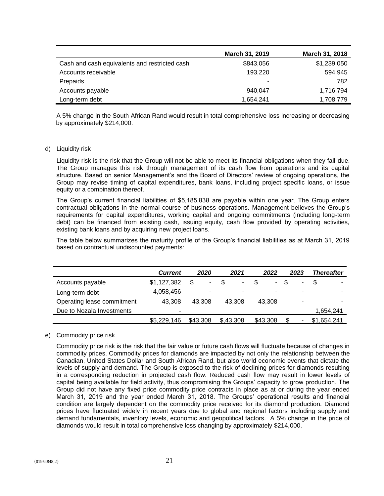|                                               | March 31, 2019 | March 31, 2018 |
|-----------------------------------------------|----------------|----------------|
| Cash and cash equivalents and restricted cash | \$843,056      | \$1,239,050    |
| Accounts receivable                           | 193,220        | 594,945        |
| Prepaids                                      |                | 782            |
| Accounts payable                              | 940.047        | 1,716,794      |
| Long-term debt                                | 1,654,241      | 1,708,779      |

A 5% change in the South African Rand would result in total comprehensive loss increasing or decreasing by approximately \$214,000.

#### d) Liquidity risk

Liquidity risk is the risk that the Group will not be able to meet its financial obligations when they fall due. The Group manages this risk through management of its cash flow from operations and its capital structure. Based on senior Management's and the Board of Directors' review of ongoing operations, the Group may revise timing of capital expenditures, bank loans, including project specific loans, or issue equity or a combination thereof.

The Group's current financial liabilities of \$5,185,838 are payable within one year. The Group enters contractual obligations in the normal course of business operations. Management believes the Group's requirements for capital expenditures, working capital and ongoing commitments (including long-term debt) can be financed from existing cash, issuing equity, cash flow provided by operating activities, existing bank loans and by acquiring new project loans.

The table below summarizes the maturity profile of the Group's financial liabilities as at March 31, 2019 based on contractual undiscounted payments:

|                            | <b>Current</b>           | 2020     | 2021                 | 2022                     | 2023 | Thereafter  |
|----------------------------|--------------------------|----------|----------------------|--------------------------|------|-------------|
| Accounts payable           | \$1,127,382              | S<br>٠   | \$<br>$\blacksquare$ | $\blacksquare$           | ۰    | \$.         |
| Long-term debt             | 4,058,456                |          | ٠                    | $\overline{\phantom{0}}$ |      |             |
| Operating lease commitment | 43.308                   | 43.308   | 43.308               | 43.308                   | ۰    |             |
| Due to Nozala Investments  | $\overline{\phantom{a}}$ |          |                      |                          |      | 1,654,241   |
|                            | \$5,229,146              | \$43,308 | \$,43,308            | \$43,308                 |      | \$1,654,241 |

#### e) Commodity price risk

Commodity price risk is the risk that the fair value or future cash flows will fluctuate because of changes in commodity prices. Commodity prices for diamonds are impacted by not only the relationship between the Canadian, United States Dollar and South African Rand, but also world economic events that dictate the levels of supply and demand. The Group is exposed to the risk of declining prices for diamonds resulting in a corresponding reduction in projected cash flow. Reduced cash flow may result in lower levels of capital being available for field activity, thus compromising the Groups' capacity to grow production. The Group did not have any fixed price commodity price contracts in place as at or during the year ended March 31, 2019 and the year ended March 31, 2018. The Groups' operational results and financial condition are largely dependent on the commodity price received for its diamond production. Diamond prices have fluctuated widely in recent years due to global and regional factors including supply and demand fundamentals, inventory levels, economic and geopolitical factors. A 5% change in the price of diamonds would result in total comprehensive loss changing by approximately \$214,000.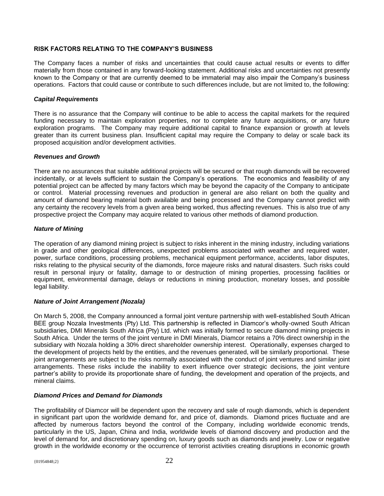#### **RISK FACTORS RELATING TO THE COMPANY'S BUSINESS**

The Company faces a number of risks and uncertainties that could cause actual results or events to differ materially from those contained in any forward-looking statement. Additional risks and uncertainties not presently known to the Company or that are currently deemed to be immaterial may also impair the Company's business operations. Factors that could cause or contribute to such differences include, but are not limited to, the following:

#### *Capital Requirements*

There is no assurance that the Company will continue to be able to access the capital markets for the required funding necessary to maintain exploration properties, nor to complete any future acquisitions, or any future exploration programs. The Company may require additional capital to finance expansion or growth at levels greater than its current business plan. Insufficient capital may require the Company to delay or scale back its proposed acquisition and/or development activities.

#### *Revenues and Growth*

There are no assurances that suitable additional projects will be secured or that rough diamonds will be recovered incidentally, or at levels sufficient to sustain the Company's operations. The economics and feasibility of any potential project can be affected by many factors which may be beyond the capacity of the Company to anticipate or control. Material processing revenues and production in general are also reliant on both the quality and amount of diamond bearing material both available and being processed and the Company cannot predict with any certainty the recovery levels from a given area being worked, thus affecting revenues. This is also true of any prospective project the Company may acquire related to various other methods of diamond production.

#### *Nature of Mining*

The operation of any diamond mining project is subject to risks inherent in the mining industry, including variations in grade and other geological differences, unexpected problems associated with weather and required water, power, surface conditions, processing problems, mechanical equipment performance, accidents, labor disputes, risks relating to the physical security of the diamonds, force majeure risks and natural disasters. Such risks could result in personal injury or fatality, damage to or destruction of mining properties, processing facilities or equipment, environmental damage, delays or reductions in mining production, monetary losses, and possible legal liability.

#### *Nature of Joint Arrangement (Nozala)*

On March 5, 2008, the Company announced a formal joint venture partnership with well-established South African BEE group Nozala Investments (Pty) Ltd. This partnership is reflected in Diamcor's wholly-owned South African subsidiaries, DMI Minerals South Africa (Pty) Ltd. which was initially formed to secure diamond mining projects in South Africa. Under the terms of the joint venture in DMI Minerals, Diamcor retains a 70% direct ownership in the subsidiary with Nozala holding a 30% direct shareholder ownership interest. Operationally, expenses charged to the development of projects held by the entities, and the revenues generated, will be similarly proportional. These joint arrangements are subject to the risks normally associated with the conduct of joint ventures and similar joint arrangements. These risks include the inability to exert influence over strategic decisions, the joint venture partner's ability to provide its proportionate share of funding, the development and operation of the projects, and mineral claims.

#### *Diamond Prices and Demand for Diamonds*

The profitability of Diamcor will be dependent upon the recovery and sale of rough diamonds, which is dependent in significant part upon the worldwide demand for, and price of, diamonds. Diamond prices fluctuate and are affected by numerous factors beyond the control of the Company, including worldwide economic trends, particularly in the US, Japan, China and India, worldwide levels of diamond discovery and production and the level of demand for, and discretionary spending on, luxury goods such as diamonds and jewelry. Low or negative growth in the worldwide economy or the occurrence of terrorist activities creating disruptions in economic growth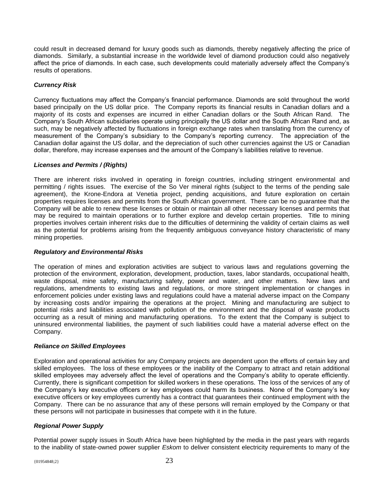could result in decreased demand for luxury goods such as diamonds, thereby negatively affecting the price of diamonds. Similarly, a substantial increase in the worldwide level of diamond production could also negatively affect the price of diamonds. In each case, such developments could materially adversely affect the Company's results of operations.

#### *Currency Risk*

Currency fluctuations may affect the Company's financial performance. Diamonds are sold throughout the world based principally on the US dollar price. The Company reports its financial results in Canadian dollars and a majority of its costs and expenses are incurred in either Canadian dollars or the South African Rand. The Company's South African subsidiaries operate using principally the US dollar and the South African Rand and, as such, may be negatively affected by fluctuations in foreign exchange rates when translating from the currency of measurement of the Company's subsidiary to the Company's reporting currency. The appreciation of the Canadian dollar against the US dollar, and the depreciation of such other currencies against the US or Canadian dollar, therefore, may increase expenses and the amount of the Company's liabilities relative to revenue.

#### *Licenses and Permits / (Rights)*

There are inherent risks involved in operating in foreign countries, including stringent environmental and permitting / rights issues. The exercise of the So Ver mineral rights (subject to the terms of the pending sale agreement), the Krone-Endora at Venetia project, pending acquisitions, and future exploration on certain properties requires licenses and permits from the South African government. There can be no guarantee that the Company will be able to renew these licenses or obtain or maintain all other necessary licenses and permits that may be required to maintain operations or to further explore and develop certain properties. Title to mining properties involves certain inherent risks due to the difficulties of determining the validity of certain claims as well as the potential for problems arising from the frequently ambiguous conveyance history characteristic of many mining properties.

#### *Regulatory and Environmental Risks*

The operation of mines and exploration activities are subject to various laws and regulations governing the protection of the environment, exploration, development, production, taxes, labor standards, occupational health, waste disposal, mine safety, manufacturing safety, power and water, and other matters. New laws and regulations, amendments to existing laws and regulations, or more stringent implementation or changes in enforcement policies under existing laws and regulations could have a material adverse impact on the Company by increasing costs and/or impairing the operations at the project. Mining and manufacturing are subject to potential risks and liabilities associated with pollution of the environment and the disposal of waste products occurring as a result of mining and manufacturing operations. To the extent that the Company is subject to uninsured environmental liabilities, the payment of such liabilities could have a material adverse effect on the Company.

#### *Reliance on Skilled Employees*

Exploration and operational activities for any Company projects are dependent upon the efforts of certain key and skilled employees. The loss of these employees or the inability of the Company to attract and retain additional skilled employees may adversely affect the level of operations and the Company's ability to operate efficiently. Currently, there is significant competition for skilled workers in these operations. The loss of the services of any of the Company's key executive officers or key employees could harm its business. None of the Company's key executive officers or key employees currently has a contract that guarantees their continued employment with the Company. There can be no assurance that any of these persons will remain employed by the Company or that these persons will not participate in businesses that compete with it in the future.

#### *Regional Power Supply*

Potential power supply issues in South Africa have been highlighted by the media in the past years with regards to the inability of state-owned power supplier *Eskom* to deliver consistent electricity requirements to many of the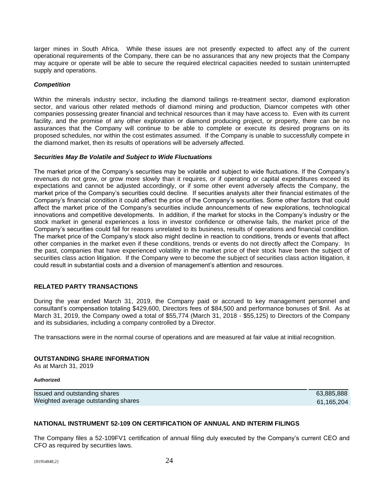larger mines in South Africa. While these issues are not presently expected to affect any of the current operational requirements of the Company, there can be no assurances that any new projects that the Company may acquire or operate will be able to secure the required electrical capacities needed to sustain uninterrupted supply and operations.

#### *Competition*

Within the minerals industry sector, including the diamond tailings re-treatment sector, diamond exploration sector, and various other related methods of diamond mining and production, Diamcor competes with other companies possessing greater financial and technical resources than it may have access to. Even with its current facility, and the promise of any other exploration or diamond producing project, or property, there can be no assurances that the Company will continue to be able to complete or execute its desired programs on its proposed schedules, nor within the cost estimates assumed. If the Company is unable to successfully compete in the diamond market, then its results of operations will be adversely affected.

#### *Securities May Be Volatile and Subject to Wide Fluctuations*

The market price of the Company's securities may be volatile and subject to wide fluctuations. If the Company's revenues do not grow, or grow more slowly than it requires, or if operating or capital expenditures exceed its expectations and cannot be adjusted accordingly, or if some other event adversely affects the Company, the market price of the Company's securities could decline. If securities analysts alter their financial estimates of the Company's financial condition it could affect the price of the Company's securities. Some other factors that could affect the market price of the Company's securities include announcements of new explorations, technological innovations and competitive developments. In addition, if the market for stocks in the Company's industry or the stock market in general experiences a loss in investor confidence or otherwise fails, the market price of the Company's securities could fall for reasons unrelated to its business, results of operations and financial condition. The market price of the Company's stock also might decline in reaction to conditions, trends or events that affect other companies in the market even if these conditions, trends or events do not directly affect the Company. In the past, companies that have experienced volatility in the market price of their stock have been the subject of securities class action litigation. If the Company were to become the subject of securities class action litigation, it could result in substantial costs and a diversion of management's attention and resources.

#### **RELATED PARTY TRANSACTIONS**

During the year ended March 31, 2019, the Company paid or accrued to key management personnel and consultant's compensation totaling \$429,600, Directors fees of \$84,500 and performance bonuses of \$nil. As at March 31, 2019, the Company owed a total of \$55,774 (March 31, 2018 - \$55,125) to Directors of the Company and its subsidiaries, including a company controlled by a Director.

The transactions were in the normal course of operations and are measured at fair value at initial recognition.

#### **OUTSTANDING SHARE INFORMATION**

As at March 31, 2019

#### **Authorized**

Issued and outstanding shares 63,885,888 Weighted average outstanding shares 61,165,204

#### **NATIONAL INSTRUMENT 52-109 ON CERTIFICATION OF ANNUAL AND INTERIM FILINGS**

The Company files a 52-109FV1 certification of annual filing duly executed by the Company's current CEO and CFO as required by securities laws.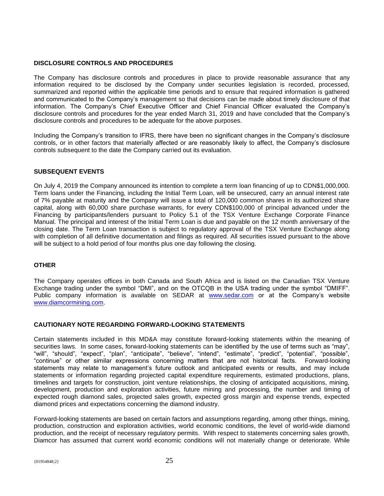#### **DISCLOSURE CONTROLS AND PROCEDURES**

The Company has disclosure controls and procedures in place to provide reasonable assurance that any information required to be disclosed by the Company under securities legislation is recorded, processed, summarized and reported within the applicable time periods and to ensure that required information is gathered and communicated to the Company's management so that decisions can be made about timely disclosure of that information. The Company's Chief Executive Officer and Chief Financial Officer evaluated the Company's disclosure controls and procedures for the year ended March 31, 2019 and have concluded that the Company's disclosure controls and procedures to be adequate for the above purposes.

Including the Company's transition to IFRS, there have been no significant changes in the Company's disclosure controls, or in other factors that materially affected or are reasonably likely to affect, the Company's disclosure controls subsequent to the date the Company carried out its evaluation.

#### **SUBSEQUENT EVENTS**

On July 4, 2019 the Company announced its intention to complete a term loan financing of up to CDN\$1,000,000. Term loans under the Financing, including the Initial Term Loan, will be unsecured, carry an annual interest rate of 7% payable at maturity and the Company will issue a total of 120,000 common shares in its authorized share capital, along with 60,000 share purchase warrants, for every CDN\$100,000 of principal advanced under the Financing by participants/lenders pursuant to Policy 5.1 of the TSX Venture Exchange Corporate Finance Manual. The principal and interest of the Initial Term Loan is due and payable on the 12 month anniversary of the closing date. The Term Loan transaction is subject to regulatory approval of the TSX Venture Exchange along with completion of all definitive documentation and filings as required. All securities issued pursuant to the above will be subject to a hold period of four months plus one day following the closing.

#### **OTHER**

The Company operates offices in both Canada and South Africa and is listed on the Canadian TSX Venture Exchange trading under the symbol "DMI", and on the OTCQB in the USA trading under the symbol "DMIFF". Public company information is available on SEDAR at [www.sedar.com](http://www.sedar.com/) or at the Company's website [www.diamcormining.com.](http://www.diamcormining.com/)

#### **CAUTIONARY NOTE REGARDING FORWARD-LOOKING STATEMENTS**

Certain statements included in this MD&A may constitute forward-looking statements within the meaning of securities laws. In some cases, forward-looking statements can be identified by the use of terms such as "may", "will", "should", "expect", "plan", "anticipate", "believe", "intend", "estimate", "predict", "potential", "possible", "continue" or other similar expressions concerning matters that are not historical facts. Forward-looking statements may relate to management's future outlook and anticipated events or results, and may include statements or information regarding projected capital expenditure requirements, estimated productions, plans, timelines and targets for construction, joint venture relationships, the closing of anticipated acquisitions, mining, development, production and exploration activities, future mining and processing, the number and timing of expected rough diamond sales, projected sales growth, expected gross margin and expense trends, expected diamond prices and expectations concerning the diamond industry.

Forward-looking statements are based on certain factors and assumptions regarding, among other things, mining, production, construction and exploration activities, world economic conditions, the level of world-wide diamond production, and the receipt of necessary regulatory permits. With respect to statements concerning sales growth, Diamcor has assumed that current world economic conditions will not materially change or deteriorate. While